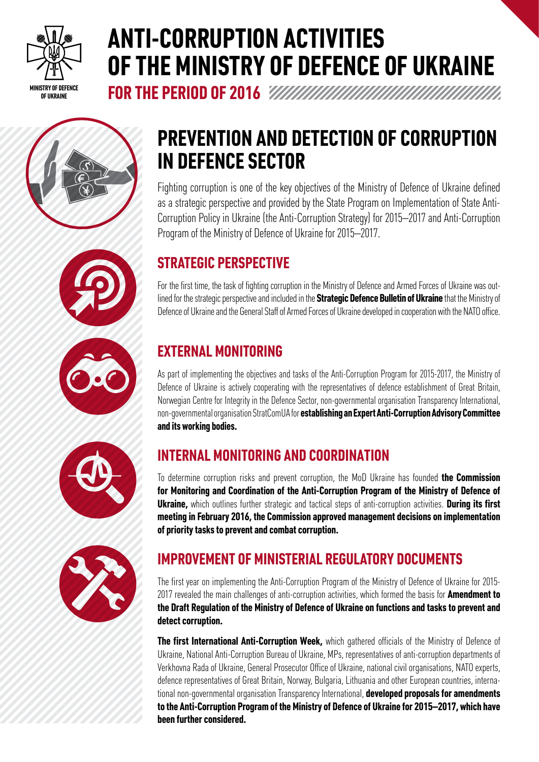

# **ANTI-CORRUPTION ACTIVITIES OF THE MINISTRY OF DEFENCE OF UKRAINE**

**FOR THE PERIOD OF 2016**











## **PREVENTION AND DETECTION OF CORRUPTION IN DEFENCE SECTOR**

Fighting corruption is one of the key objectives of the Ministry of Defence of Ukraine defined as a strategic perspective and provided by the State Program on Implementation of State Anti-Corruption Policy in Ukraine (the Anti-Corruption Strategy) for 2015–2017 and Anti-Corruption Program of the Ministry of Defence of Ukraine for 2015–2017.

### **STRATEGIC PERSPECTIVE**

For the first time, the task of fighting corruption in the Ministry of Defence and Armed Forces of Ukraine was outlined for the strategic perspective and included in the **Strategic Defence Bulletin of Ukraine** that the Ministry of Defence of Ukraine and the General Staff of Armed Forces of Ukraine developed in cooperation with the NATO office.

### **EXTERNAL MONITORING**

As part of implementing the objectives and tasks of the Anti-Corruption Program for 2015-2017, the Ministry of Defence of Ukraine is actively cooperating with the representatives of defence establishment of Great Britain, Norwegian Centre for Integrity in the Defence Sector, non-governmental organisation Transparency International, non-governmental organisation StratComUA for **establishing an Expert Anti-Corruption Advisory Committee and its working bodies.**

### **INTERNAL MONITORING AND COORDINATION**

To determine corruption risks and prevent corruption, the MoD Ukraine has founded **the Commission for Monitoring and Coordination of the Anti-Corruption Program of the Ministry of Defence of Ukraine,** which outlines further strategic and tactical steps of anti-corruption activities. **During its first meeting in February 2016, the Commission approved management decisions on implementation of priority tasks to prevent and combat corruption.**

### **IMPROVEMENT OF MINISTERIAL REGULATORY DOCUMENTS**

The first year on implementing the Anti-Corruption Program of the Ministry of Defence of Ukraine for 2015- 2017 revealed the main challenges of anti-corruption activities, which formed the basis for **Amendment to the Draft Regulation of the Ministry of Defence of Ukraine on functions and tasks to prevent and detect corruption.**

**The first International Anti-Corruption Week,** which gathered officials of the Ministry of Defence of Ukraine, National Anti-Corruption Bureau of Ukraine, MPs, representatives of anti-corruption departments of Verkhovna Rada of Ukraine, General Prosecutor Office of Ukraine, national civil organisations, NATO experts, defence representatives of Great Britain, Norway, Bulgaria, Lithuania and other European countries, international non-governmental organisation Transparency International, **developed proposals for amendments to the Anti-Corruption Program of the Ministry of Defence of Ukraine for 2015–2017, which have been further considered.**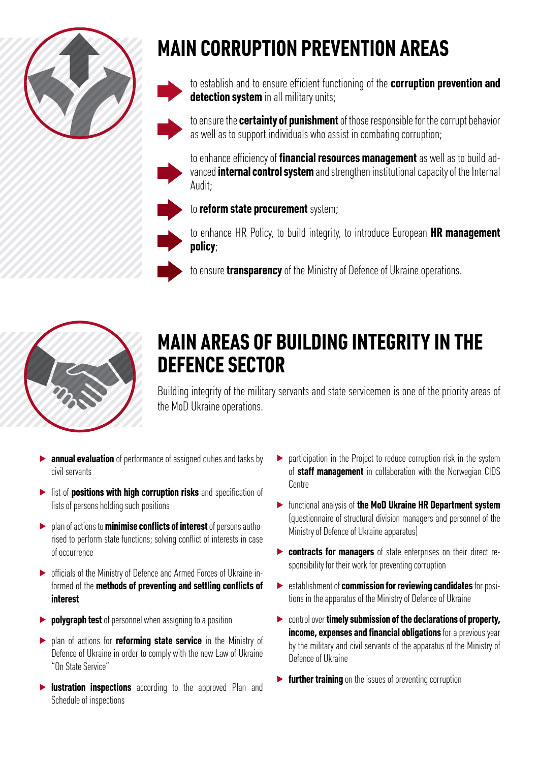

# **MAIN CORRUPTION PREVENTION AREAS**

to establish and to ensure efficient functioning of the **corruption prevention and detection system** in all military units;

to ensure the **certainty of punishment** of those responsible for the corrupt behavior as well as to support individuals who assist in combating corruption;

to enhance efficiency of **financial resources management** as well as to build advanced **internal control system** and strengthen institutional capacity of the Internal Audit;

to **reform state procurement** system;

to enhance HR Policy, to build integrity, to introduce European **HR management policy**;

to ensure **transparency** of the Ministry of Defence of Ukraine operations.



## **MAIN AREAS OF BUILDING INTEGRITY IN THE DEFENCE SECTOR**

Building integrity of the military servants and state servicemen is one of the priority areas of the MoD Ukraine operations.

- **▶ annual evaluation** of performance of assigned duties and tasks by civil servants
- ▶ list of **positions with high corruption risks** and specification of lists of persons holding such positions
- ▶ plan of actions to **minimise conflicts of interest** of persons authorised to perform state functions; solving conflict of interests in case of occurrence
- ▶ officials of the Ministry of Defence and Armed Forces of Ukraine informed of the **methods of preventing and settling conflicts of interest**
- ▶ **polygraph test** of personnel when assigning to a position
- ▶ plan of actions for **reforming state service** in the Ministry of Defence of Ukraine in order to comply with the new Law of Ukraine "On State Service"
- ▶ **lustration inspections** according to the approved Plan and Schedule of inspections
- participation in the Project to reduce corruption risk in the system of **staff management** in collaboration with the Norwegian CIDS Centre
- ▶ functional analysis of **the MoD Ukraine HR Department system** (questionnaire of structural division managers and personnel of the Ministry of Defence of Ukraine apparatus)
- ▶ **contracts for managers** of state enterprises on their direct responsibility for their work for preventing corruption
- ▶ establishment of **commission for reviewing candidates** for positions in the apparatus of the Ministry of Defence of Ukraine
- ▶ control over **timely submission of the declarations of property, income, expenses and financial obligations** for a previous year by the military and civil servants of the apparatus of the Ministry of Defence of Ukraine
- ▶ **further training** on the issues of preventing corruption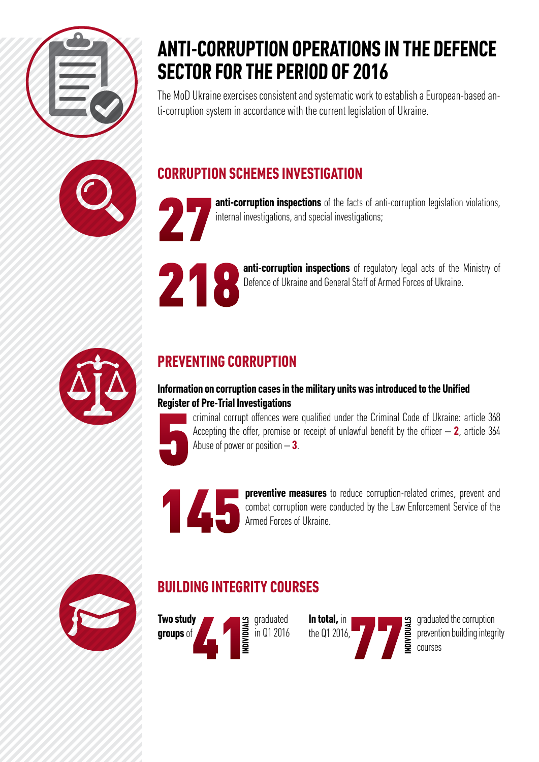

## **ANTI-CORRUPTION OPERATIONS IN THE DEFENCE SECTOR FOR THE PERIOD OF 2016**

The MoD Ukraine exercises consistent and systematic work to establish a European-based anti-corruption system in accordance with the current legislation of Ukraine.



**CORRUPTION SCHEMES INVESTIGATION**

27

**anti-corruption inspections** of the facts of anti-corruption legislation violations, internal investigations, and special investigations;



**anti-corruption inspections** of regulatory legal acts of the Ministry of Defence of Ukraine and General Staff of Armed Forces of Ukraine.



### **PREVENTING CORRUPTION**

#### **Information on corruption cases in the military units was introduced to the Unified Register of Pre-Trial Investigations**

5 criminal corrupt offences were qualified under the Criminal Code of Ukraine: article 368 Accepting the offer, promise or receipt of unlawful benefit by the officer  $- 2$ , article 364 Abuse of power or position – **3**.



**preventive measures** to reduce corruption-related crimes, prevent and combat corruption were conducted by the Law Enforcement Service of the Armed Forces of Ukraine. combat corruption were conducted by the Law Enforcement Service of the Armed Forces of Ukraine.



### **BUILDING INTEGRITY COURSES**



graduated in Q1 2016



graduated the corruption prevention building integrity